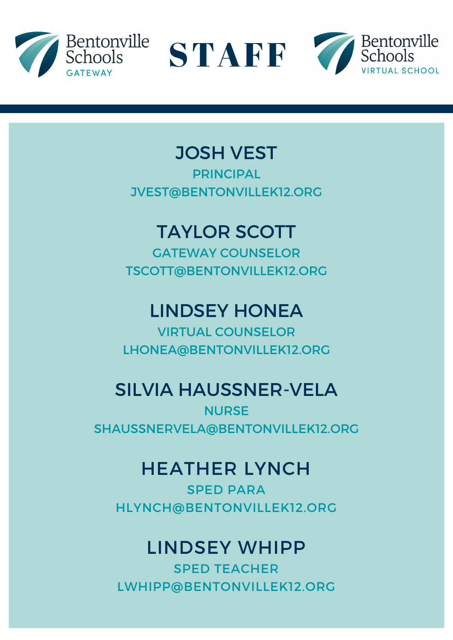





# JOSH VEST

PRINCIPAL JVEST@BENTONVILLEK12.ORG

# TAYLOR SCOTT

GATEWAY COUNSELOR TSCOTT@BENTONVILLEK12.ORG

# LINDSEY HONEA

VIRTUAL COUNSELOR LHONEA@BENTONVILLEK12.ORG

# SILVIA HAUSSNER-VELA

**NURSE** SHAUSSNERVELA@BENTONVILLEK12.ORG

# HEATHER LYNCH

SPED PARA HLYNCH@BENTONVILLEK12.ORG

# LINDSEY WHIPP

SPED TEACHER LWHIPP@BENTONVILLEK12.ORG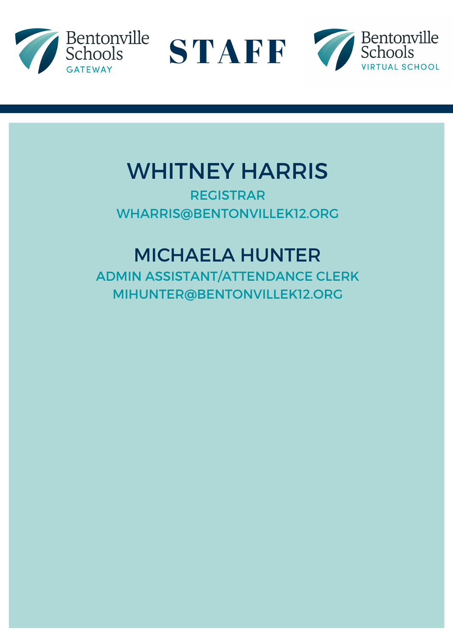





# WHITNEY HARRIS

REGISTRAR WHARRIS@BENTONVILLEK12.ORG

# MICHAELA HUNTER

ADMIN ASSISTANT/ATTENDANCE CLERK MIHUNTER@BENTONVILLEK12.ORG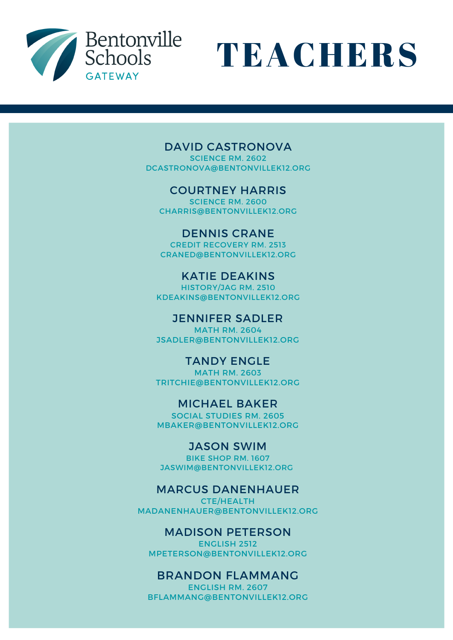



#### DAVID CASTRONOVA

SCIENCE RM. 2602 DCASTRONOVA@BENTONVILLEK12.ORG

#### COURTNEY HARRIS

SCIENCE RM. 2600 CHARRIS@BENTONVILLEK12.ORG

DENNIS CRANE CREDIT RECOVERY RM. 2513 CRANED@BENTONVILLEK12.ORG

KATIE DEAKINS HISTORY/JAG RM. 2510 KDEAKINS@BENTONVILLEK12.ORG

JENNIFER SADLER MATH RM. 2604 JSADLER@BENTONVILLEK12.ORG

TANDY ENGLE MATH RM. 2603 TRITCHIE@BENTONVILLEK12.ORG

MICHAEL BAKER

SOCIAL STUDIES RM. 2605 MBAKER@BENTONVILLEK12.ORG

JASON SWIM

BIKE SHOP RM. 1607 JASWIM@BENTONVILLEK12.ORG

#### MARCUS DANENHAUER

CTE/HEALTH MADANENHAUER@BENTONVILLEK12.ORG

#### MADISON PETERSON

ENGLISH 2512 MPETERSON@BENTONVILLEK12.ORG

#### BRANDON FLAMMANG

ENGLISH RM. 2607 BFLAMMANG@BENTONVILLEK12.ORG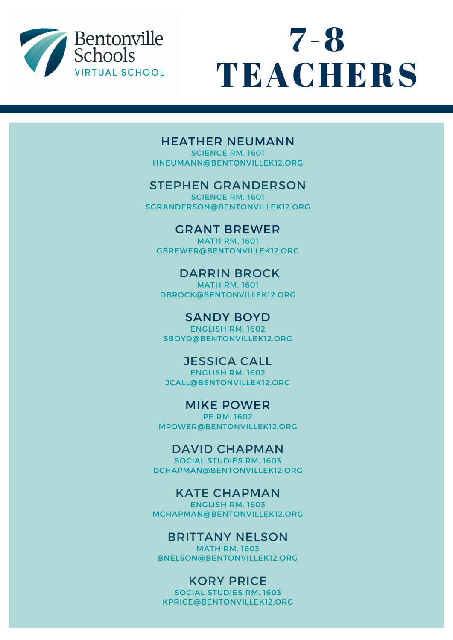



#### HEATHER NEUMANN

SCIENCE RM. 1601 HNEUMANN@BENTONVILLEK12.ORG

#### STEPHEN GRANDERSON

SCIENCE RM. 1601 SGRANDERSON@BENTONVILLEK12.ORG

GRANT BREWER MATH RM. 1601 GBREWER@BENTONVILLEK12.ORG

### DARRIN BROCK

MATH RM. 1601 DBROCK@BENTONVILLEK12.ORG

### SANDY BOYD

ENGLISH RM. 1602 SBOYD@BENTONVILLEK12.ORG

#### JESSICA CALL

ENGLISH RM. 1602 JCALL@BENTONVILLEK12.ORG

MIKE POWER PE RM. 1602 MPOWER@BENTONVILLEK12.ORG

#### DAVID CHAPMAN

SOCIAL STUDIES RM. 1603 DCHAPMAN@BENTONVILLEK12.ORG

#### KATE CHAPMAN

ENGLISH RM. 1603 MCHAPMAN@BENTONVILLEK12.ORG

#### BRITTANY NELSON

MATH RM. 1603 BNELSON@BENTONVILLEK12.ORG

#### KORY PRICE

SOCIAL STUDIES RM. 1603 KPRICE@BENTONVILLEK12.ORG